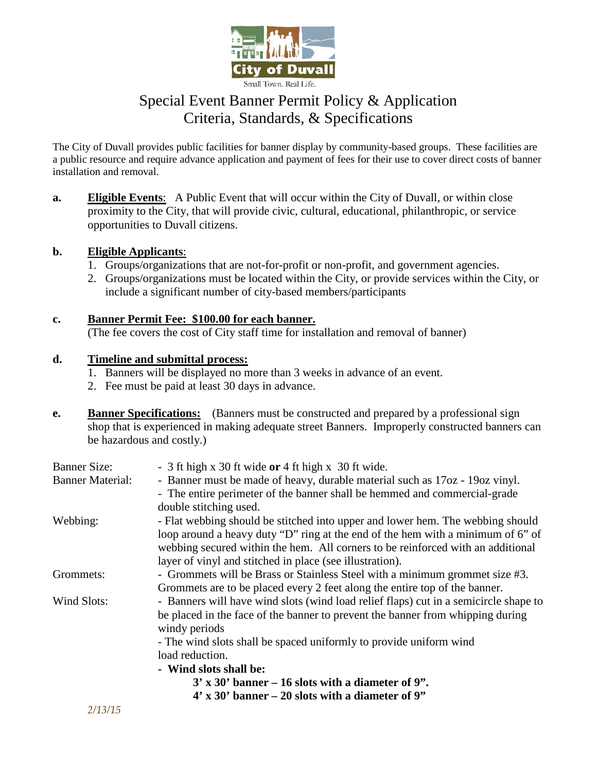

## Special Event Banner Permit Policy & Application Criteria, Standards, & Specifications

The City of Duvall provides public facilities for banner display by community-based groups. These facilities are a public resource and require advance application and payment of fees for their use to cover direct costs of banner installation and removal.

**a. Eligible Events**: A Public Event that will occur within the City of Duvall, or within close proximity to the City, that will provide civic, cultural, educational, philanthropic, or service opportunities to Duvall citizens.

### **b. Eligible Applicants**:

- 1. Groups/organizations that are not-for-profit or non-profit, and government agencies.
- 2. Groups/organizations must be located within the City, or provide services within the City, or include a significant number of city-based members/participants

### **c. Banner Permit Fee: \$100.00 for each banner.**

(The fee covers the cost of City staff time for installation and removal of banner)

### **d. Timeline and submittal process:**

- 1. Banners will be displayed no more than 3 weeks in advance of an event.
- 2. Fee must be paid at least 30 days in advance.
- **e.** Banner Specifications: (Banners must be constructed and prepared by a professional sign shop that is experienced in making adequate street Banners. Improperly constructed banners can be hazardous and costly.)

| <b>Banner Size:</b>     | - 3 ft high x 30 ft wide $or$ 4 ft high x 30 ft wide.                                |
|-------------------------|--------------------------------------------------------------------------------------|
| <b>Banner Material:</b> | - Banner must be made of heavy, durable material such as 17oz - 19oz vinyl.          |
|                         | - The entire perimeter of the banner shall be hemmed and commercial-grade            |
|                         | double stitching used.                                                               |
| Webbing:                | - Flat webbing should be stitched into upper and lower hem. The webbing should       |
|                         | loop around a heavy duty "D" ring at the end of the hem with a minimum of 6" of      |
|                         | webbing secured within the hem. All corners to be reinforced with an additional      |
|                         | layer of vinyl and stitched in place (see illustration).                             |
| Grommets:               | - Grommets will be Brass or Stainless Steel with a minimum grommet size #3.          |
|                         | Grommets are to be placed every 2 feet along the entire top of the banner.           |
| Wind Slots:             | - Banners will have wind slots (wind load relief flaps) cut in a semicircle shape to |
|                         | be placed in the face of the banner to prevent the banner from whipping during       |
|                         | windy periods                                                                        |
|                         | - The wind slots shall be spaced uniformly to provide uniform wind                   |
|                         | load reduction.                                                                      |
|                         | - Wind slots shall be:                                                               |
|                         | $3'$ x 30' banner – 16 slots with a diameter of 9".                                  |
|                         | $4'$ x 30' banner – 20 slots with a diameter of 9"                                   |
| 2/13/15                 |                                                                                      |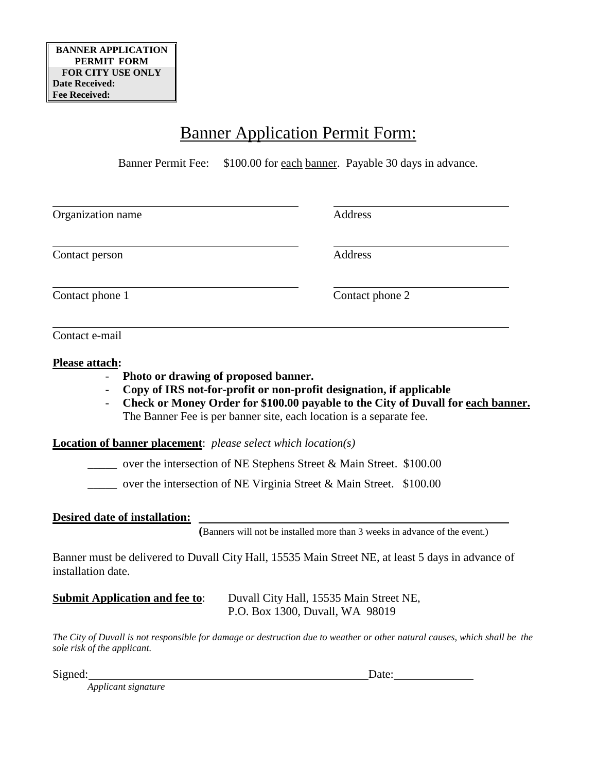# Banner Application Permit Form:

Banner Permit Fee: \$100.00 for each banner. Payable 30 days in advance.

| Organization name                                                                                                        | Address         |
|--------------------------------------------------------------------------------------------------------------------------|-----------------|
| Contact person                                                                                                           | Address         |
| Contact phone 1                                                                                                          | Contact phone 2 |
| Contact e-mail                                                                                                           |                 |
| Please attach:<br>$\mathbf{D}$ , and a set of the set of $\mathbf{f}$ and a set of $\mathbf{J}$ is a set of $\mathbf{J}$ |                 |

- **Photo or drawing of proposed banner.**
- **Copy of IRS not-for-profit or non-profit designation, if applicable**
- **Check or Money Order for \$100.00 payable to the City of Duvall for each banner.**  The Banner Fee is per banner site, each location is a separate fee.

**Location of banner placement**: *please select which location(s)*

 $\frac{1}{2}$  over the intersection of NE Stephens Street & Main Street. \$100.00

over the intersection of NE Virginia Street & Main Street. \$100.00

## **Desired date of installation:**

 **(**Banners will not be installed more than 3 weeks in advance of the event.)

Banner must be delivered to Duvall City Hall, 15535 Main Street NE, at least 5 days in advance of installation date.

**Submit Application and fee to**: Duvall City Hall, 15535 Main Street NE, P.O. Box 1300, Duvall, WA 98019

*The City of Duvall is not responsible for damage or destruction due to weather or other natural causes, which shall be the sole risk of the applicant.* 

Signed: Date:

*Applicant signature*